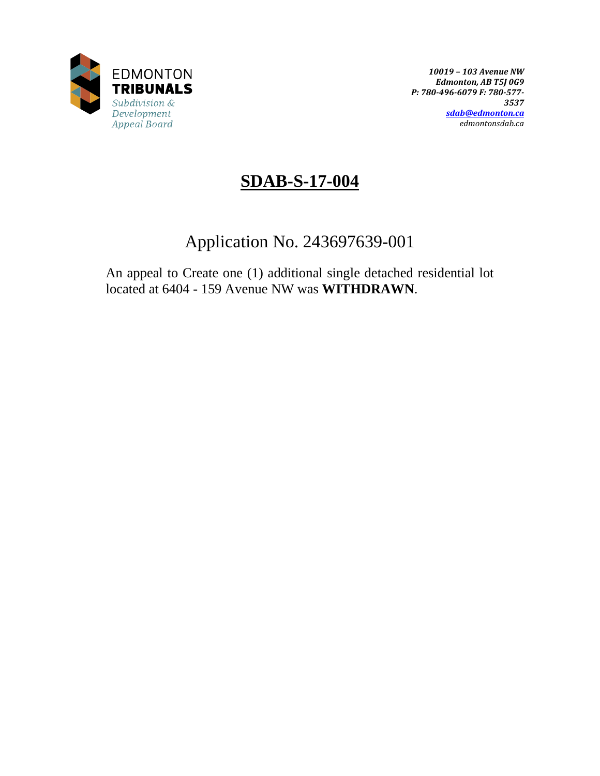

# **SDAB-S-17-004**

# Application No. 243697639-001

An appeal to Create one (1) additional single detached residential lot located at 6404 - 159 Avenue NW was **WITHDRAWN**.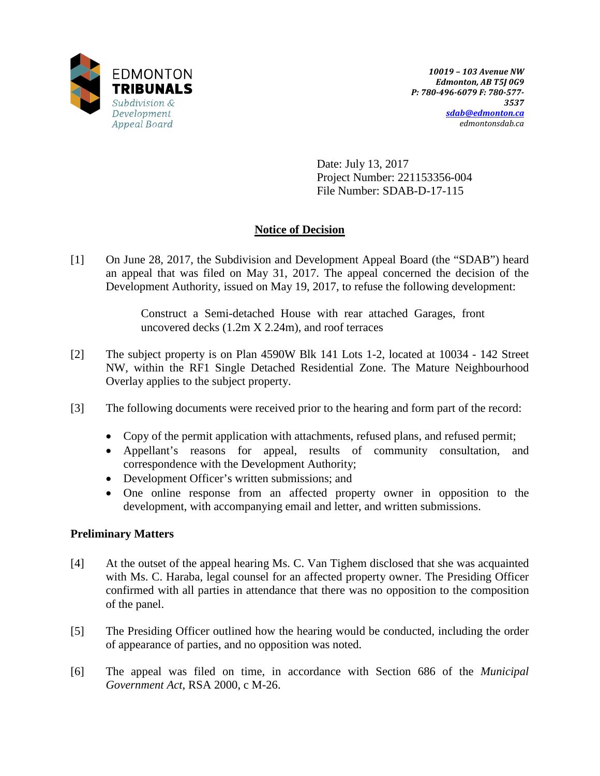

Date: July 13, 2017 Project Number: 221153356-004 File Number: SDAB-D-17-115

# **Notice of Decision**

[1] On June 28, 2017, the Subdivision and Development Appeal Board (the "SDAB") heard an appeal that was filed on May 31, 2017. The appeal concerned the decision of the Development Authority, issued on May 19, 2017, to refuse the following development:

> Construct a Semi-detached House with rear attached Garages, front uncovered decks (1.2m X 2.24m), and roof terraces

- [2] The subject property is on Plan 4590W Blk 141 Lots 1-2, located at 10034 142 Street NW, within the RF1 Single Detached Residential Zone. The Mature Neighbourhood Overlay applies to the subject property.
- [3] The following documents were received prior to the hearing and form part of the record:
	- Copy of the permit application with attachments, refused plans, and refused permit;
	- Appellant's reasons for appeal, results of community consultation, and correspondence with the Development Authority;
	- Development Officer's written submissions; and
	- One online response from an affected property owner in opposition to the development, with accompanying email and letter, and written submissions.

# **Preliminary Matters**

- [4] At the outset of the appeal hearing Ms. C. Van Tighem disclosed that she was acquainted with Ms. C. Haraba, legal counsel for an affected property owner. The Presiding Officer confirmed with all parties in attendance that there was no opposition to the composition of the panel.
- [5] The Presiding Officer outlined how the hearing would be conducted, including the order of appearance of parties, and no opposition was noted.
- [6] The appeal was filed on time, in accordance with Section 686 of the *Municipal Government Act*, RSA 2000, c M-26.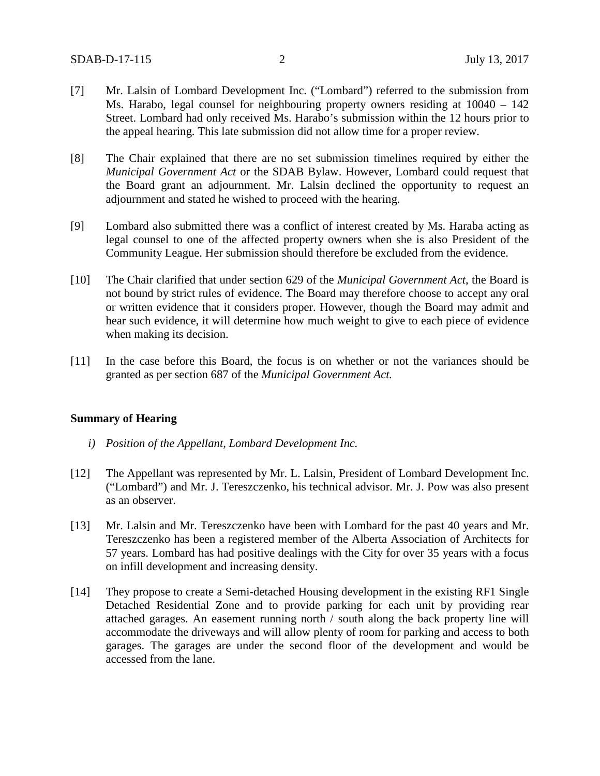- [7] Mr. Lalsin of Lombard Development Inc. ("Lombard") referred to the submission from Ms. Harabo, legal counsel for neighbouring property owners residing at 10040 – 142 Street. Lombard had only received Ms. Harabo's submission within the 12 hours prior to the appeal hearing. This late submission did not allow time for a proper review.
- [8] The Chair explained that there are no set submission timelines required by either the *Municipal Government Act* or the SDAB Bylaw. However, Lombard could request that the Board grant an adjournment. Mr. Lalsin declined the opportunity to request an adjournment and stated he wished to proceed with the hearing.
- [9] Lombard also submitted there was a conflict of interest created by Ms. Haraba acting as legal counsel to one of the affected property owners when she is also President of the Community League. Her submission should therefore be excluded from the evidence.
- [10] The Chair clarified that under section 629 of the *Municipal Government Act*, the Board is not bound by strict rules of evidence. The Board may therefore choose to accept any oral or written evidence that it considers proper. However, though the Board may admit and hear such evidence, it will determine how much weight to give to each piece of evidence when making its decision.
- [11] In the case before this Board, the focus is on whether or not the variances should be granted as per section 687 of the *Municipal Government Act.*

# **Summary of Hearing**

- *i) Position of the Appellant, Lombard Development Inc.*
- [12] The Appellant was represented by Mr. L. Lalsin, President of Lombard Development Inc. ("Lombard") and Mr. J. Tereszczenko, his technical advisor. Mr. J. Pow was also present as an observer.
- [13] Mr. Lalsin and Mr. Tereszczenko have been with Lombard for the past 40 years and Mr. Tereszczenko has been a registered member of the Alberta Association of Architects for 57 years. Lombard has had positive dealings with the City for over 35 years with a focus on infill development and increasing density.
- [14] They propose to create a Semi-detached Housing development in the existing RF1 Single Detached Residential Zone and to provide parking for each unit by providing rear attached garages. An easement running north / south along the back property line will accommodate the driveways and will allow plenty of room for parking and access to both garages. The garages are under the second floor of the development and would be accessed from the lane.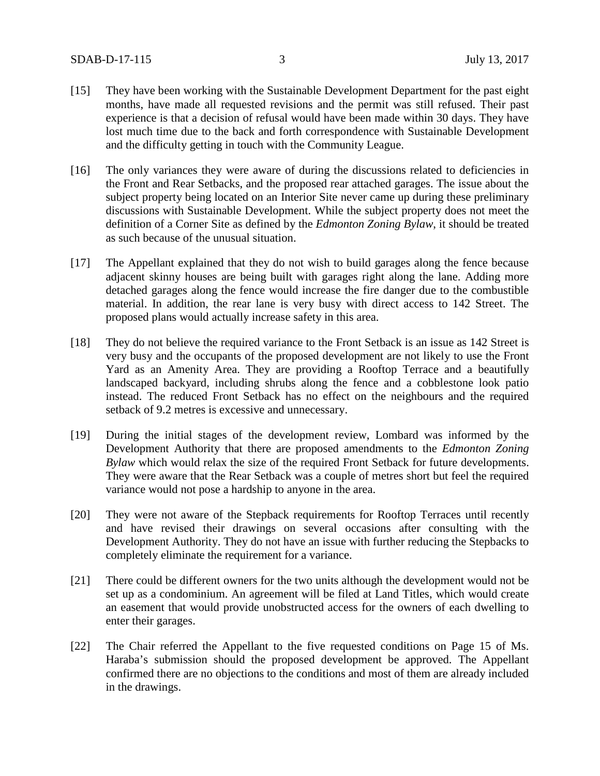- [15] They have been working with the Sustainable Development Department for the past eight months, have made all requested revisions and the permit was still refused. Their past experience is that a decision of refusal would have been made within 30 days. They have lost much time due to the back and forth correspondence with Sustainable Development and the difficulty getting in touch with the Community League.
- [16] The only variances they were aware of during the discussions related to deficiencies in the Front and Rear Setbacks, and the proposed rear attached garages. The issue about the subject property being located on an Interior Site never came up during these preliminary discussions with Sustainable Development. While the subject property does not meet the definition of a Corner Site as defined by the *Edmonton Zoning Bylaw*, it should be treated as such because of the unusual situation.
- [17] The Appellant explained that they do not wish to build garages along the fence because adjacent skinny houses are being built with garages right along the lane. Adding more detached garages along the fence would increase the fire danger due to the combustible material. In addition, the rear lane is very busy with direct access to 142 Street. The proposed plans would actually increase safety in this area.
- [18] They do not believe the required variance to the Front Setback is an issue as 142 Street is very busy and the occupants of the proposed development are not likely to use the Front Yard as an Amenity Area. They are providing a Rooftop Terrace and a beautifully landscaped backyard, including shrubs along the fence and a cobblestone look patio instead. The reduced Front Setback has no effect on the neighbours and the required setback of 9.2 metres is excessive and unnecessary.
- [19] During the initial stages of the development review, Lombard was informed by the Development Authority that there are proposed amendments to the *Edmonton Zoning Bylaw* which would relax the size of the required Front Setback for future developments. They were aware that the Rear Setback was a couple of metres short but feel the required variance would not pose a hardship to anyone in the area.
- [20] They were not aware of the Stepback requirements for Rooftop Terraces until recently and have revised their drawings on several occasions after consulting with the Development Authority. They do not have an issue with further reducing the Stepbacks to completely eliminate the requirement for a variance.
- [21] There could be different owners for the two units although the development would not be set up as a condominium. An agreement will be filed at Land Titles, which would create an easement that would provide unobstructed access for the owners of each dwelling to enter their garages.
- [22] The Chair referred the Appellant to the five requested conditions on Page 15 of Ms. Haraba's submission should the proposed development be approved. The Appellant confirmed there are no objections to the conditions and most of them are already included in the drawings.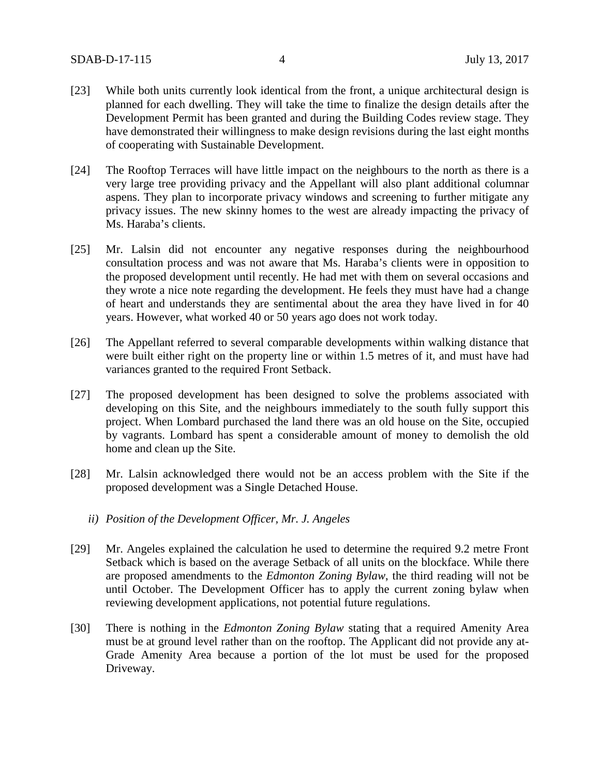- [23] While both units currently look identical from the front, a unique architectural design is planned for each dwelling. They will take the time to finalize the design details after the Development Permit has been granted and during the Building Codes review stage. They have demonstrated their willingness to make design revisions during the last eight months of cooperating with Sustainable Development.
- [24] The Rooftop Terraces will have little impact on the neighbours to the north as there is a very large tree providing privacy and the Appellant will also plant additional columnar aspens. They plan to incorporate privacy windows and screening to further mitigate any privacy issues. The new skinny homes to the west are already impacting the privacy of Ms. Haraba's clients.
- [25] Mr. Lalsin did not encounter any negative responses during the neighbourhood consultation process and was not aware that Ms. Haraba's clients were in opposition to the proposed development until recently. He had met with them on several occasions and they wrote a nice note regarding the development. He feels they must have had a change of heart and understands they are sentimental about the area they have lived in for 40 years. However, what worked 40 or 50 years ago does not work today.
- [26] The Appellant referred to several comparable developments within walking distance that were built either right on the property line or within 1.5 metres of it, and must have had variances granted to the required Front Setback.
- [27] The proposed development has been designed to solve the problems associated with developing on this Site, and the neighbours immediately to the south fully support this project. When Lombard purchased the land there was an old house on the Site, occupied by vagrants. Lombard has spent a considerable amount of money to demolish the old home and clean up the Site.
- [28] Mr. Lalsin acknowledged there would not be an access problem with the Site if the proposed development was a Single Detached House.
	- *ii) Position of the Development Officer, Mr. J. Angeles*
- [29] Mr. Angeles explained the calculation he used to determine the required 9.2 metre Front Setback which is based on the average Setback of all units on the blockface. While there are proposed amendments to the *Edmonton Zoning Bylaw*, the third reading will not be until October. The Development Officer has to apply the current zoning bylaw when reviewing development applications, not potential future regulations.
- [30] There is nothing in the *Edmonton Zoning Bylaw* stating that a required Amenity Area must be at ground level rather than on the rooftop. The Applicant did not provide any at-Grade Amenity Area because a portion of the lot must be used for the proposed Driveway.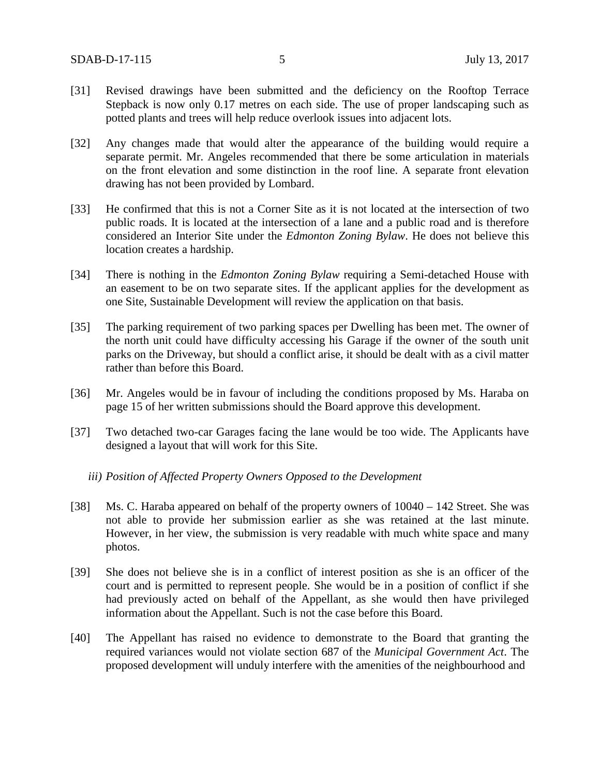- [31] Revised drawings have been submitted and the deficiency on the Rooftop Terrace Stepback is now only 0.17 metres on each side. The use of proper landscaping such as potted plants and trees will help reduce overlook issues into adjacent lots.
- [32] Any changes made that would alter the appearance of the building would require a separate permit. Mr. Angeles recommended that there be some articulation in materials on the front elevation and some distinction in the roof line. A separate front elevation drawing has not been provided by Lombard.
- [33] He confirmed that this is not a Corner Site as it is not located at the intersection of two public roads. It is located at the intersection of a lane and a public road and is therefore considered an Interior Site under the *Edmonton Zoning Bylaw*. He does not believe this location creates a hardship.
- [34] There is nothing in the *Edmonton Zoning Bylaw* requiring a Semi-detached House with an easement to be on two separate sites. If the applicant applies for the development as one Site, Sustainable Development will review the application on that basis.
- [35] The parking requirement of two parking spaces per Dwelling has been met. The owner of the north unit could have difficulty accessing his Garage if the owner of the south unit parks on the Driveway, but should a conflict arise, it should be dealt with as a civil matter rather than before this Board.
- [36] Mr. Angeles would be in favour of including the conditions proposed by Ms. Haraba on page 15 of her written submissions should the Board approve this development.
- [37] Two detached two-car Garages facing the lane would be too wide. The Applicants have designed a layout that will work for this Site.
	- *iii) Position of Affected Property Owners Opposed to the Development*
- [38] Ms. C. Haraba appeared on behalf of the property owners of 10040 142 Street. She was not able to provide her submission earlier as she was retained at the last minute. However, in her view, the submission is very readable with much white space and many photos.
- [39] She does not believe she is in a conflict of interest position as she is an officer of the court and is permitted to represent people. She would be in a position of conflict if she had previously acted on behalf of the Appellant, as she would then have privileged information about the Appellant. Such is not the case before this Board.
- [40] The Appellant has raised no evidence to demonstrate to the Board that granting the required variances would not violate section 687 of the *Municipal Government Act*. The proposed development will unduly interfere with the amenities of the neighbourhood and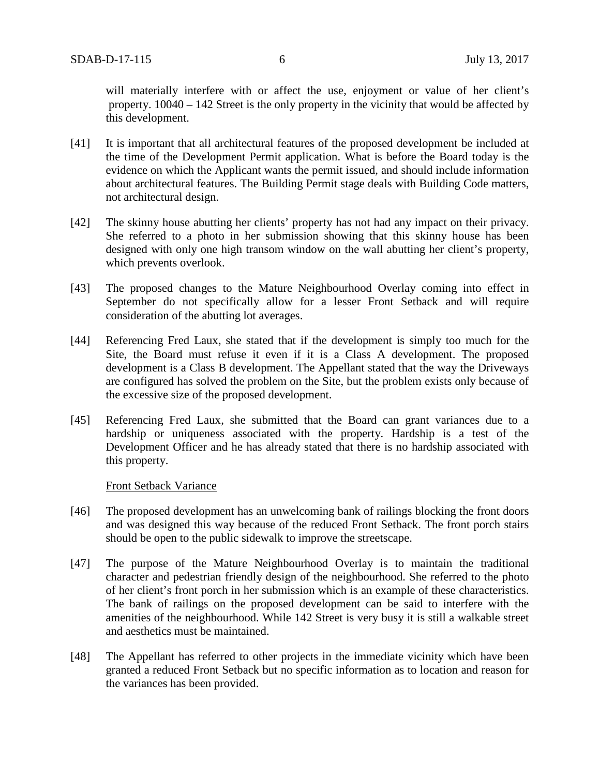will materially interfere with or affect the use, enjoyment or value of her client's property. 10040 – 142 Street is the only property in the vicinity that would be affected by this development.

- [41] It is important that all architectural features of the proposed development be included at the time of the Development Permit application. What is before the Board today is the evidence on which the Applicant wants the permit issued, and should include information about architectural features. The Building Permit stage deals with Building Code matters, not architectural design.
- [42] The skinny house abutting her clients' property has not had any impact on their privacy. She referred to a photo in her submission showing that this skinny house has been designed with only one high transom window on the wall abutting her client's property, which prevents overlook.
- [43] The proposed changes to the Mature Neighbourhood Overlay coming into effect in September do not specifically allow for a lesser Front Setback and will require consideration of the abutting lot averages.
- [44] Referencing Fred Laux, she stated that if the development is simply too much for the Site, the Board must refuse it even if it is a Class A development. The proposed development is a Class B development. The Appellant stated that the way the Driveways are configured has solved the problem on the Site, but the problem exists only because of the excessive size of the proposed development.
- [45] Referencing Fred Laux, she submitted that the Board can grant variances due to a hardship or uniqueness associated with the property. Hardship is a test of the Development Officer and he has already stated that there is no hardship associated with this property.

Front Setback Variance

- [46] The proposed development has an unwelcoming bank of railings blocking the front doors and was designed this way because of the reduced Front Setback. The front porch stairs should be open to the public sidewalk to improve the streetscape.
- [47] The purpose of the Mature Neighbourhood Overlay is to maintain the traditional character and pedestrian friendly design of the neighbourhood. She referred to the photo of her client's front porch in her submission which is an example of these characteristics. The bank of railings on the proposed development can be said to interfere with the amenities of the neighbourhood. While 142 Street is very busy it is still a walkable street and aesthetics must be maintained.
- [48] The Appellant has referred to other projects in the immediate vicinity which have been granted a reduced Front Setback but no specific information as to location and reason for the variances has been provided.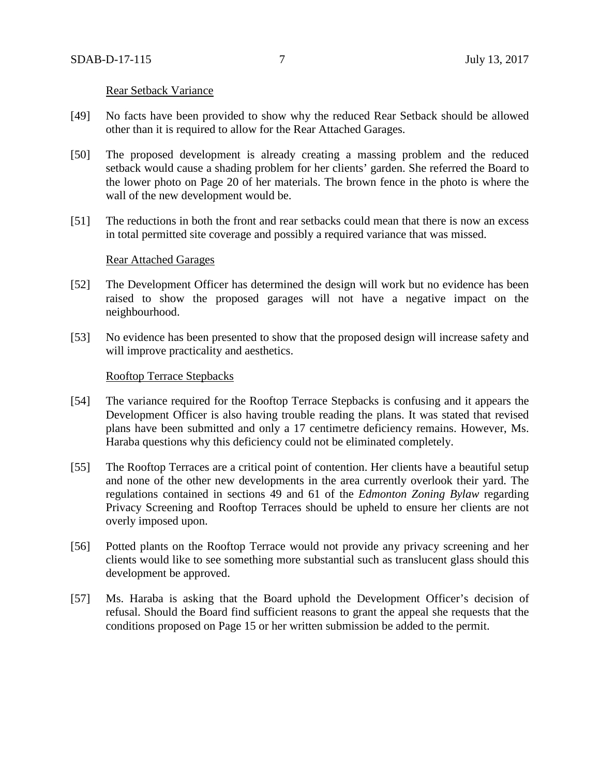#### Rear Setback Variance

- [49] No facts have been provided to show why the reduced Rear Setback should be allowed other than it is required to allow for the Rear Attached Garages.
- [50] The proposed development is already creating a massing problem and the reduced setback would cause a shading problem for her clients' garden. She referred the Board to the lower photo on Page 20 of her materials. The brown fence in the photo is where the wall of the new development would be.
- [51] The reductions in both the front and rear setbacks could mean that there is now an excess in total permitted site coverage and possibly a required variance that was missed.

#### Rear Attached Garages

- [52] The Development Officer has determined the design will work but no evidence has been raised to show the proposed garages will not have a negative impact on the neighbourhood.
- [53] No evidence has been presented to show that the proposed design will increase safety and will improve practicality and aesthetics.

#### Rooftop Terrace Stepbacks

- [54] The variance required for the Rooftop Terrace Stepbacks is confusing and it appears the Development Officer is also having trouble reading the plans. It was stated that revised plans have been submitted and only a 17 centimetre deficiency remains. However, Ms. Haraba questions why this deficiency could not be eliminated completely.
- [55] The Rooftop Terraces are a critical point of contention. Her clients have a beautiful setup and none of the other new developments in the area currently overlook their yard. The regulations contained in sections 49 and 61 of the *Edmonton Zoning Bylaw* regarding Privacy Screening and Rooftop Terraces should be upheld to ensure her clients are not overly imposed upon.
- [56] Potted plants on the Rooftop Terrace would not provide any privacy screening and her clients would like to see something more substantial such as translucent glass should this development be approved.
- [57] Ms. Haraba is asking that the Board uphold the Development Officer's decision of refusal. Should the Board find sufficient reasons to grant the appeal she requests that the conditions proposed on Page 15 or her written submission be added to the permit.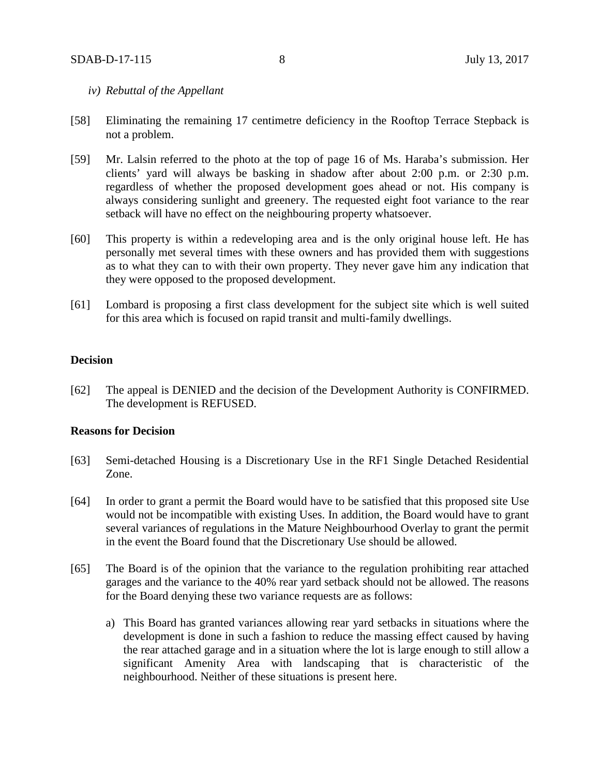#### *iv) Rebuttal of the Appellant*

- [58] Eliminating the remaining 17 centimetre deficiency in the Rooftop Terrace Stepback is not a problem.
- [59] Mr. Lalsin referred to the photo at the top of page 16 of Ms. Haraba's submission. Her clients' yard will always be basking in shadow after about 2:00 p.m. or 2:30 p.m. regardless of whether the proposed development goes ahead or not. His company is always considering sunlight and greenery. The requested eight foot variance to the rear setback will have no effect on the neighbouring property whatsoever.
- [60] This property is within a redeveloping area and is the only original house left. He has personally met several times with these owners and has provided them with suggestions as to what they can to with their own property. They never gave him any indication that they were opposed to the proposed development.
- [61] Lombard is proposing a first class development for the subject site which is well suited for this area which is focused on rapid transit and multi-family dwellings.

#### **Decision**

[62] The appeal is DENIED and the decision of the Development Authority is CONFIRMED. The development is REFUSED.

#### **Reasons for Decision**

- [63] Semi-detached Housing is a Discretionary Use in the RF1 Single Detached Residential Zone.
- [64] In order to grant a permit the Board would have to be satisfied that this proposed site Use would not be incompatible with existing Uses. In addition, the Board would have to grant several variances of regulations in the Mature Neighbourhood Overlay to grant the permit in the event the Board found that the Discretionary Use should be allowed.
- [65] The Board is of the opinion that the variance to the regulation prohibiting rear attached garages and the variance to the 40% rear yard setback should not be allowed. The reasons for the Board denying these two variance requests are as follows:
	- a) This Board has granted variances allowing rear yard setbacks in situations where the development is done in such a fashion to reduce the massing effect caused by having the rear attached garage and in a situation where the lot is large enough to still allow a significant Amenity Area with landscaping that is characteristic of the neighbourhood. Neither of these situations is present here.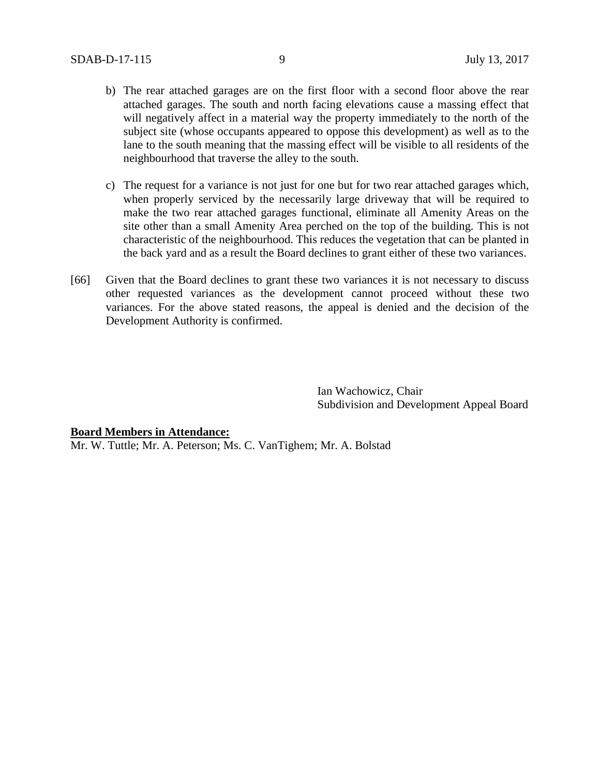- b) The rear attached garages are on the first floor with a second floor above the rear attached garages. The south and north facing elevations cause a massing effect that will negatively affect in a material way the property immediately to the north of the subject site (whose occupants appeared to oppose this development) as well as to the lane to the south meaning that the massing effect will be visible to all residents of the neighbourhood that traverse the alley to the south.
- c) The request for a variance is not just for one but for two rear attached garages which, when properly serviced by the necessarily large driveway that will be required to make the two rear attached garages functional, eliminate all Amenity Areas on the site other than a small Amenity Area perched on the top of the building. This is not characteristic of the neighbourhood. This reduces the vegetation that can be planted in the back yard and as a result the Board declines to grant either of these two variances.
- [66] Given that the Board declines to grant these two variances it is not necessary to discuss other requested variances as the development cannot proceed without these two variances. For the above stated reasons, the appeal is denied and the decision of the Development Authority is confirmed.

Ian Wachowicz, Chair Subdivision and Development Appeal Board

#### **Board Members in Attendance:**

Mr. W. Tuttle; Mr. A. Peterson; Ms. C. VanTighem; Mr. A. Bolstad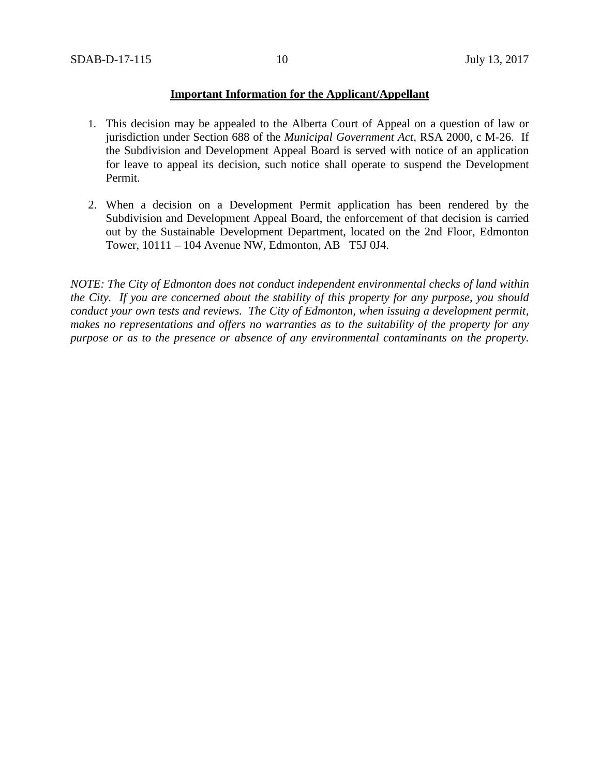# **Important Information for the Applicant/Appellant**

- 1. This decision may be appealed to the Alberta Court of Appeal on a question of law or jurisdiction under Section 688 of the *Municipal Government Act*, RSA 2000, c M-26. If the Subdivision and Development Appeal Board is served with notice of an application for leave to appeal its decision, such notice shall operate to suspend the Development Permit.
- 2. When a decision on a Development Permit application has been rendered by the Subdivision and Development Appeal Board, the enforcement of that decision is carried out by the Sustainable Development Department, located on the 2nd Floor, Edmonton Tower, 10111 – 104 Avenue NW, Edmonton, AB T5J 0J4.

*NOTE: The City of Edmonton does not conduct independent environmental checks of land within the City. If you are concerned about the stability of this property for any purpose, you should conduct your own tests and reviews. The City of Edmonton, when issuing a development permit, makes no representations and offers no warranties as to the suitability of the property for any purpose or as to the presence or absence of any environmental contaminants on the property.*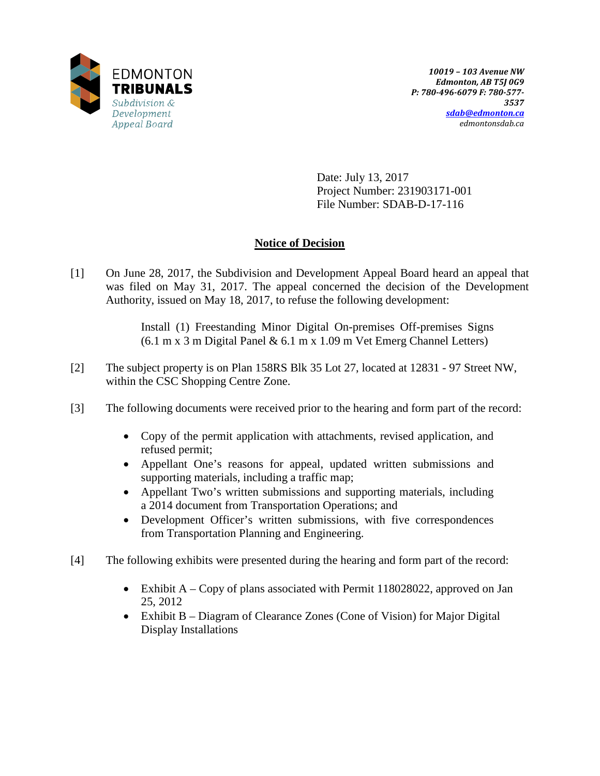

Date: July 13, 2017 Project Number: 231903171-001 File Number: SDAB-D-17-116

# **Notice of Decision**

[1] On June 28, 2017, the Subdivision and Development Appeal Board heard an appeal that was filed on May 31, 2017. The appeal concerned the decision of the Development Authority, issued on May 18, 2017, to refuse the following development:

> Install (1) Freestanding Minor Digital On-premises Off-premises Signs (6.1 m x 3 m Digital Panel & 6.1 m x 1.09 m Vet Emerg Channel Letters)

- [2] The subject property is on Plan 158RS Blk 35 Lot 27, located at 12831 97 Street NW, within the CSC Shopping Centre Zone.
- [3] The following documents were received prior to the hearing and form part of the record:
	- Copy of the permit application with attachments, revised application, and refused permit;
	- Appellant One's reasons for appeal, updated written submissions and supporting materials, including a traffic map;
	- Appellant Two's written submissions and supporting materials, including a 2014 document from Transportation Operations; and
	- Development Officer's written submissions, with five correspondences from Transportation Planning and Engineering.
- [4] The following exhibits were presented during the hearing and form part of the record:
	- Exhibit A Copy of plans associated with Permit 118028022, approved on Jan 25, 2012
	- Exhibit B Diagram of Clearance Zones (Cone of Vision) for Major Digital Display Installations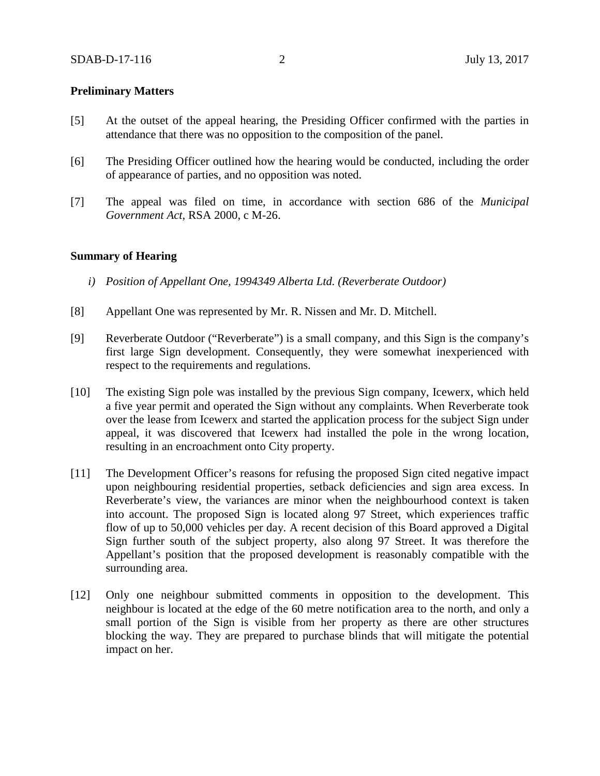## **Preliminary Matters**

- [5] At the outset of the appeal hearing, the Presiding Officer confirmed with the parties in attendance that there was no opposition to the composition of the panel.
- [6] The Presiding Officer outlined how the hearing would be conducted, including the order of appearance of parties, and no opposition was noted.
- [7] The appeal was filed on time, in accordance with section 686 of the *Municipal Government Act*, RSA 2000, c M-26.

#### **Summary of Hearing**

- *i) Position of Appellant One, 1994349 Alberta Ltd. (Reverberate Outdoor)*
- [8] Appellant One was represented by Mr. R. Nissen and Mr. D. Mitchell.
- [9] Reverberate Outdoor ("Reverberate") is a small company, and this Sign is the company's first large Sign development. Consequently, they were somewhat inexperienced with respect to the requirements and regulations.
- [10] The existing Sign pole was installed by the previous Sign company, Icewerx, which held a five year permit and operated the Sign without any complaints. When Reverberate took over the lease from Icewerx and started the application process for the subject Sign under appeal, it was discovered that Icewerx had installed the pole in the wrong location, resulting in an encroachment onto City property.
- [11] The Development Officer's reasons for refusing the proposed Sign cited negative impact upon neighbouring residential properties, setback deficiencies and sign area excess. In Reverberate's view, the variances are minor when the neighbourhood context is taken into account. The proposed Sign is located along 97 Street, which experiences traffic flow of up to 50,000 vehicles per day. A recent decision of this Board approved a Digital Sign further south of the subject property, also along 97 Street. It was therefore the Appellant's position that the proposed development is reasonably compatible with the surrounding area.
- [12] Only one neighbour submitted comments in opposition to the development. This neighbour is located at the edge of the 60 metre notification area to the north, and only a small portion of the Sign is visible from her property as there are other structures blocking the way. They are prepared to purchase blinds that will mitigate the potential impact on her.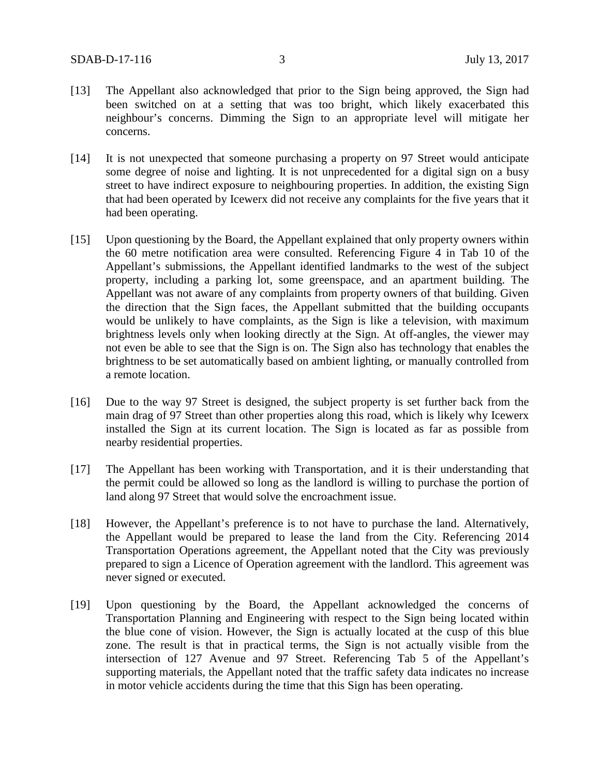- [13] The Appellant also acknowledged that prior to the Sign being approved, the Sign had been switched on at a setting that was too bright, which likely exacerbated this neighbour's concerns. Dimming the Sign to an appropriate level will mitigate her concerns.
- [14] It is not unexpected that someone purchasing a property on 97 Street would anticipate some degree of noise and lighting. It is not unprecedented for a digital sign on a busy street to have indirect exposure to neighbouring properties. In addition, the existing Sign that had been operated by Icewerx did not receive any complaints for the five years that it had been operating.
- [15] Upon questioning by the Board, the Appellant explained that only property owners within the 60 metre notification area were consulted. Referencing Figure 4 in Tab 10 of the Appellant's submissions, the Appellant identified landmarks to the west of the subject property, including a parking lot, some greenspace, and an apartment building. The Appellant was not aware of any complaints from property owners of that building. Given the direction that the Sign faces, the Appellant submitted that the building occupants would be unlikely to have complaints, as the Sign is like a television, with maximum brightness levels only when looking directly at the Sign. At off-angles, the viewer may not even be able to see that the Sign is on. The Sign also has technology that enables the brightness to be set automatically based on ambient lighting, or manually controlled from a remote location.
- [16] Due to the way 97 Street is designed, the subject property is set further back from the main drag of 97 Street than other properties along this road, which is likely why Icewerx installed the Sign at its current location. The Sign is located as far as possible from nearby residential properties.
- [17] The Appellant has been working with Transportation, and it is their understanding that the permit could be allowed so long as the landlord is willing to purchase the portion of land along 97 Street that would solve the encroachment issue.
- [18] However, the Appellant's preference is to not have to purchase the land. Alternatively, the Appellant would be prepared to lease the land from the City. Referencing 2014 Transportation Operations agreement, the Appellant noted that the City was previously prepared to sign a Licence of Operation agreement with the landlord. This agreement was never signed or executed.
- [19] Upon questioning by the Board, the Appellant acknowledged the concerns of Transportation Planning and Engineering with respect to the Sign being located within the blue cone of vision. However, the Sign is actually located at the cusp of this blue zone. The result is that in practical terms, the Sign is not actually visible from the intersection of 127 Avenue and 97 Street. Referencing Tab 5 of the Appellant's supporting materials, the Appellant noted that the traffic safety data indicates no increase in motor vehicle accidents during the time that this Sign has been operating.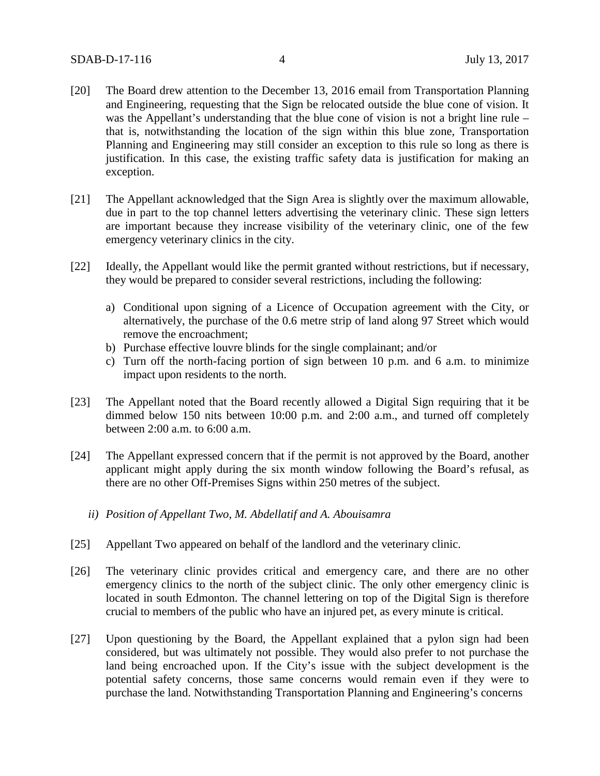- [20] The Board drew attention to the December 13, 2016 email from Transportation Planning and Engineering, requesting that the Sign be relocated outside the blue cone of vision. It was the Appellant's understanding that the blue cone of vision is not a bright line rule – that is, notwithstanding the location of the sign within this blue zone, Transportation Planning and Engineering may still consider an exception to this rule so long as there is justification. In this case, the existing traffic safety data is justification for making an exception.
- [21] The Appellant acknowledged that the Sign Area is slightly over the maximum allowable, due in part to the top channel letters advertising the veterinary clinic. These sign letters are important because they increase visibility of the veterinary clinic, one of the few emergency veterinary clinics in the city.
- [22] Ideally, the Appellant would like the permit granted without restrictions, but if necessary, they would be prepared to consider several restrictions, including the following:
	- a) Conditional upon signing of a Licence of Occupation agreement with the City, or alternatively, the purchase of the 0.6 metre strip of land along 97 Street which would remove the encroachment;
	- b) Purchase effective louvre blinds for the single complainant; and/or
	- c) Turn off the north-facing portion of sign between 10 p.m. and 6 a.m. to minimize impact upon residents to the north.
- [23] The Appellant noted that the Board recently allowed a Digital Sign requiring that it be dimmed below 150 nits between 10:00 p.m. and 2:00 a.m., and turned off completely between 2:00 a.m. to 6:00 a.m.
- [24] The Appellant expressed concern that if the permit is not approved by the Board, another applicant might apply during the six month window following the Board's refusal, as there are no other Off-Premises Signs within 250 metres of the subject.
	- *ii) Position of Appellant Two, M. Abdellatif and A. Abouisamra*
- [25] Appellant Two appeared on behalf of the landlord and the veterinary clinic.
- [26] The veterinary clinic provides critical and emergency care, and there are no other emergency clinics to the north of the subject clinic. The only other emergency clinic is located in south Edmonton. The channel lettering on top of the Digital Sign is therefore crucial to members of the public who have an injured pet, as every minute is critical.
- [27] Upon questioning by the Board, the Appellant explained that a pylon sign had been considered, but was ultimately not possible. They would also prefer to not purchase the land being encroached upon. If the City's issue with the subject development is the potential safety concerns, those same concerns would remain even if they were to purchase the land. Notwithstanding Transportation Planning and Engineering's concerns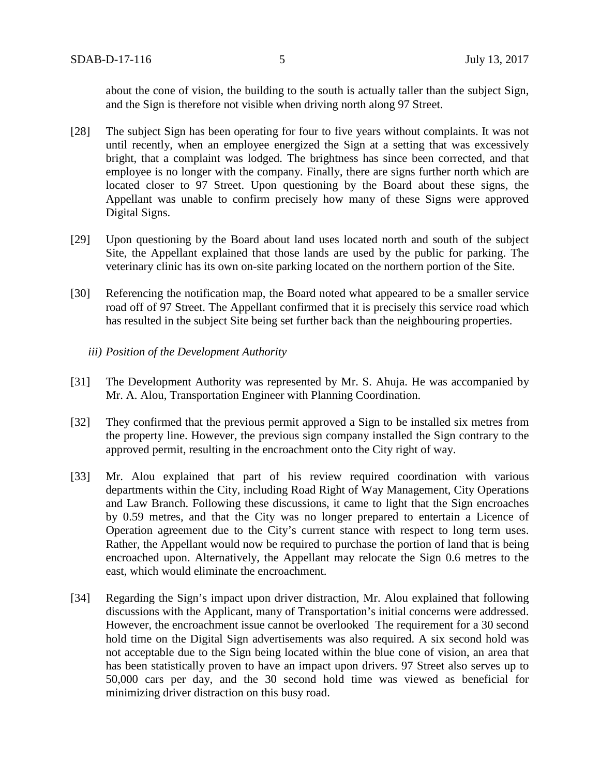about the cone of vision, the building to the south is actually taller than the subject Sign, and the Sign is therefore not visible when driving north along 97 Street.

- [28] The subject Sign has been operating for four to five years without complaints. It was not until recently, when an employee energized the Sign at a setting that was excessively bright, that a complaint was lodged. The brightness has since been corrected, and that employee is no longer with the company. Finally, there are signs further north which are located closer to 97 Street. Upon questioning by the Board about these signs, the Appellant was unable to confirm precisely how many of these Signs were approved Digital Signs.
- [29] Upon questioning by the Board about land uses located north and south of the subject Site, the Appellant explained that those lands are used by the public for parking. The veterinary clinic has its own on-site parking located on the northern portion of the Site.
- [30] Referencing the notification map, the Board noted what appeared to be a smaller service road off of 97 Street. The Appellant confirmed that it is precisely this service road which has resulted in the subject Site being set further back than the neighbouring properties.
	- *iii) Position of the Development Authority*
- [31] The Development Authority was represented by Mr. S. Ahuja. He was accompanied by Mr. A. Alou, Transportation Engineer with Planning Coordination.
- [32] They confirmed that the previous permit approved a Sign to be installed six metres from the property line. However, the previous sign company installed the Sign contrary to the approved permit, resulting in the encroachment onto the City right of way.
- [33] Mr. Alou explained that part of his review required coordination with various departments within the City, including Road Right of Way Management, City Operations and Law Branch. Following these discussions, it came to light that the Sign encroaches by 0.59 metres, and that the City was no longer prepared to entertain a Licence of Operation agreement due to the City's current stance with respect to long term uses. Rather, the Appellant would now be required to purchase the portion of land that is being encroached upon. Alternatively, the Appellant may relocate the Sign 0.6 metres to the east, which would eliminate the encroachment.
- [34] Regarding the Sign's impact upon driver distraction, Mr. Alou explained that following discussions with the Applicant, many of Transportation's initial concerns were addressed. However, the encroachment issue cannot be overlooked The requirement for a 30 second hold time on the Digital Sign advertisements was also required. A six second hold was not acceptable due to the Sign being located within the blue cone of vision, an area that has been statistically proven to have an impact upon drivers. 97 Street also serves up to 50,000 cars per day, and the 30 second hold time was viewed as beneficial for minimizing driver distraction on this busy road.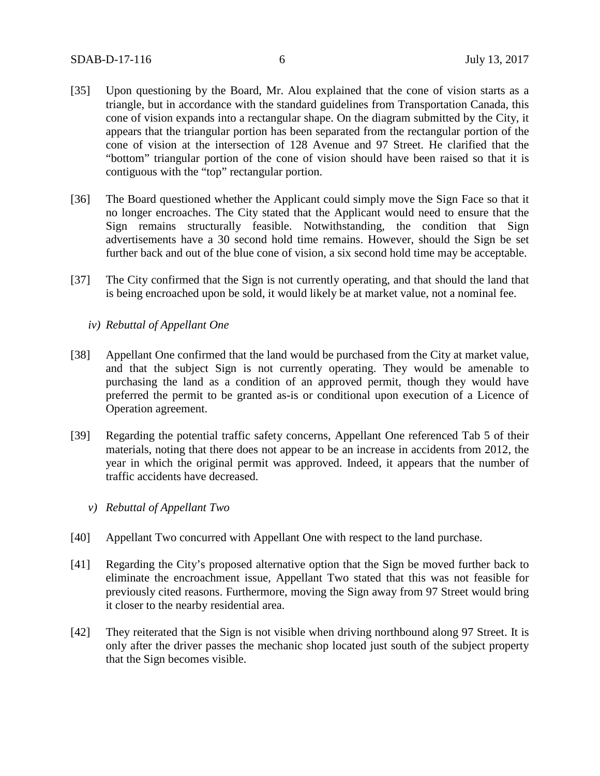- [35] Upon questioning by the Board, Mr. Alou explained that the cone of vision starts as a triangle, but in accordance with the standard guidelines from Transportation Canada, this cone of vision expands into a rectangular shape. On the diagram submitted by the City, it appears that the triangular portion has been separated from the rectangular portion of the cone of vision at the intersection of 128 Avenue and 97 Street. He clarified that the "bottom" triangular portion of the cone of vision should have been raised so that it is contiguous with the "top" rectangular portion.
- [36] The Board questioned whether the Applicant could simply move the Sign Face so that it no longer encroaches. The City stated that the Applicant would need to ensure that the Sign remains structurally feasible. Notwithstanding, the condition that Sign advertisements have a 30 second hold time remains. However, should the Sign be set further back and out of the blue cone of vision, a six second hold time may be acceptable.
- [37] The City confirmed that the Sign is not currently operating, and that should the land that is being encroached upon be sold, it would likely be at market value, not a nominal fee.
	- *iv) Rebuttal of Appellant One*
- [38] Appellant One confirmed that the land would be purchased from the City at market value, and that the subject Sign is not currently operating. They would be amenable to purchasing the land as a condition of an approved permit, though they would have preferred the permit to be granted as-is or conditional upon execution of a Licence of Operation agreement.
- [39] Regarding the potential traffic safety concerns, Appellant One referenced Tab 5 of their materials, noting that there does not appear to be an increase in accidents from 2012, the year in which the original permit was approved. Indeed, it appears that the number of traffic accidents have decreased.
	- *v) Rebuttal of Appellant Two*
- [40] Appellant Two concurred with Appellant One with respect to the land purchase.
- [41] Regarding the City's proposed alternative option that the Sign be moved further back to eliminate the encroachment issue, Appellant Two stated that this was not feasible for previously cited reasons. Furthermore, moving the Sign away from 97 Street would bring it closer to the nearby residential area.
- [42] They reiterated that the Sign is not visible when driving northbound along 97 Street. It is only after the driver passes the mechanic shop located just south of the subject property that the Sign becomes visible.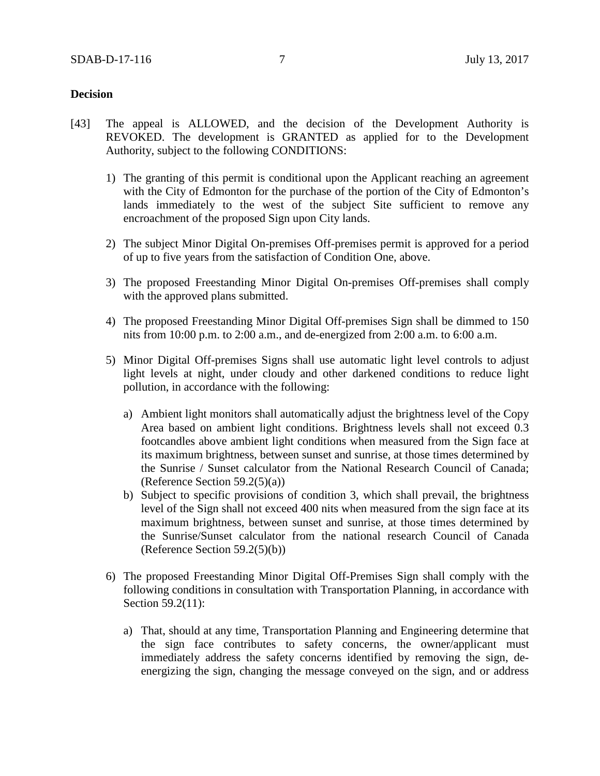## **Decision**

- [43] The appeal is ALLOWED, and the decision of the Development Authority is REVOKED. The development is GRANTED as applied for to the Development Authority, subject to the following CONDITIONS:
	- 1) The granting of this permit is conditional upon the Applicant reaching an agreement with the City of Edmonton for the purchase of the portion of the City of Edmonton's lands immediately to the west of the subject Site sufficient to remove any encroachment of the proposed Sign upon City lands.
	- 2) The subject Minor Digital On-premises Off-premises permit is approved for a period of up to five years from the satisfaction of Condition One, above.
	- 3) The proposed Freestanding Minor Digital On-premises Off-premises shall comply with the approved plans submitted.
	- 4) The proposed Freestanding Minor Digital Off-premises Sign shall be dimmed to 150 nits from 10:00 p.m. to 2:00 a.m., and de-energized from 2:00 a.m. to 6:00 a.m.
	- 5) Minor Digital Off-premises Signs shall use automatic light level controls to adjust light levels at night, under cloudy and other darkened conditions to reduce light pollution, in accordance with the following:
		- a) Ambient light monitors shall automatically adjust the brightness level of the Copy Area based on ambient light conditions. Brightness levels shall not exceed 0.3 footcandles above ambient light conditions when measured from the Sign face at its maximum brightness, between sunset and sunrise, at those times determined by the Sunrise / Sunset calculator from the National Research Council of Canada; (Reference Section 59.2(5)(a))
		- b) Subject to specific provisions of condition 3, which shall prevail, the brightness level of the Sign shall not exceed 400 nits when measured from the sign face at its maximum brightness, between sunset and sunrise, at those times determined by the Sunrise/Sunset calculator from the national research Council of Canada (Reference Section 59.2(5)(b))
	- 6) The proposed Freestanding Minor Digital Off-Premises Sign shall comply with the following conditions in consultation with Transportation Planning, in accordance with Section 59.2(11):
		- a) That, should at any time, Transportation Planning and Engineering determine that the sign face contributes to safety concerns, the owner/applicant must immediately address the safety concerns identified by removing the sign, deenergizing the sign, changing the message conveyed on the sign, and or address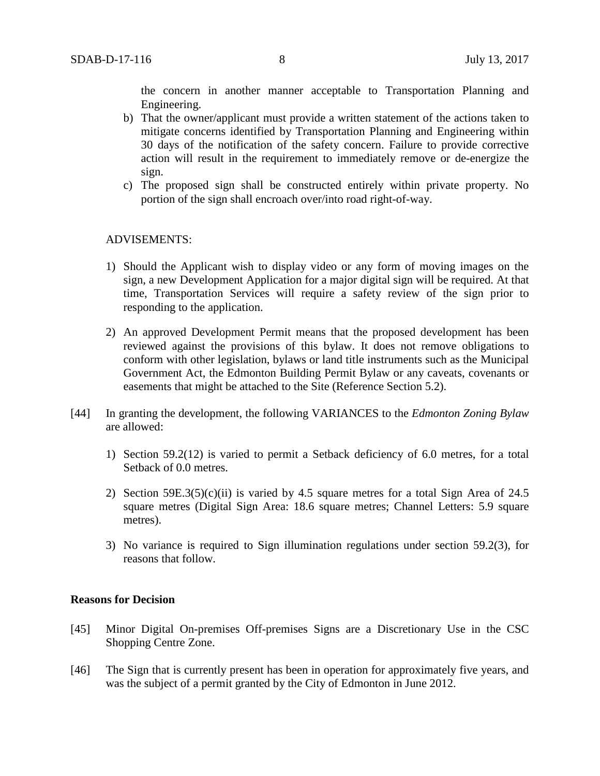the concern in another manner acceptable to Transportation Planning and Engineering.

- b) That the owner/applicant must provide a written statement of the actions taken to mitigate concerns identified by Transportation Planning and Engineering within 30 days of the notification of the safety concern. Failure to provide corrective action will result in the requirement to immediately remove or de-energize the sign.
- c) The proposed sign shall be constructed entirely within private property. No portion of the sign shall encroach over/into road right-of-way.

#### ADVISEMENTS:

- 1) Should the Applicant wish to display video or any form of moving images on the sign, a new Development Application for a major digital sign will be required. At that time, Transportation Services will require a safety review of the sign prior to responding to the application.
- 2) An approved Development Permit means that the proposed development has been reviewed against the provisions of this bylaw. It does not remove obligations to conform with other legislation, bylaws or land title instruments such as the Municipal Government Act, the Edmonton Building Permit Bylaw or any caveats, covenants or easements that might be attached to the Site (Reference Section 5.2).
- [44] In granting the development, the following VARIANCES to the *Edmonton Zoning Bylaw* are allowed:
	- 1) Section 59.2(12) is varied to permit a Setback deficiency of 6.0 metres, for a total Setback of 0.0 metres.
	- 2) Section 59E.3(5)(c)(ii) is varied by 4.5 square metres for a total Sign Area of 24.5 square metres (Digital Sign Area: 18.6 square metres; Channel Letters: 5.9 square metres).
	- 3) No variance is required to Sign illumination regulations under section 59.2(3), for reasons that follow.

## **Reasons for Decision**

- [45] Minor Digital On-premises Off-premises Signs are a Discretionary Use in the CSC Shopping Centre Zone.
- [46] The Sign that is currently present has been in operation for approximately five years, and was the subject of a permit granted by the City of Edmonton in June 2012.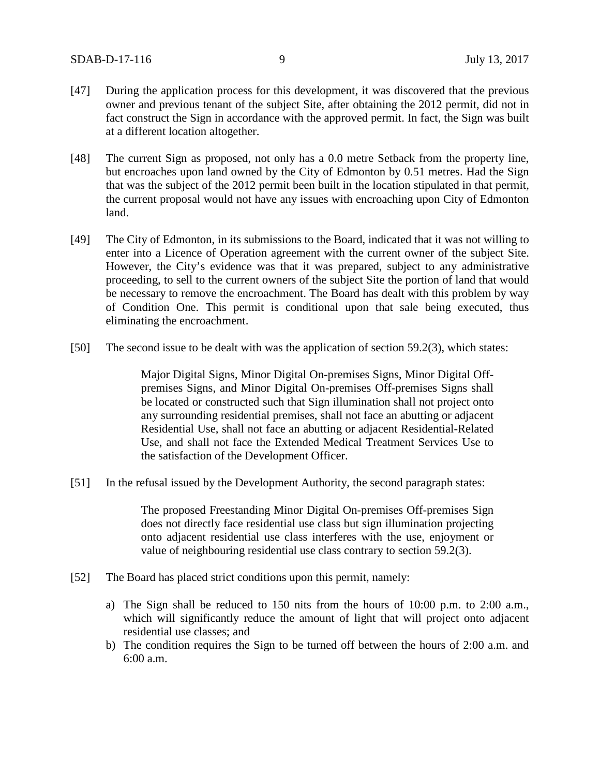- [47] During the application process for this development, it was discovered that the previous owner and previous tenant of the subject Site, after obtaining the 2012 permit, did not in fact construct the Sign in accordance with the approved permit. In fact, the Sign was built at a different location altogether.
- [48] The current Sign as proposed, not only has a 0.0 metre Setback from the property line, but encroaches upon land owned by the City of Edmonton by 0.51 metres. Had the Sign that was the subject of the 2012 permit been built in the location stipulated in that permit, the current proposal would not have any issues with encroaching upon City of Edmonton land.
- [49] The City of Edmonton, in its submissions to the Board, indicated that it was not willing to enter into a Licence of Operation agreement with the current owner of the subject Site. However, the City's evidence was that it was prepared, subject to any administrative proceeding, to sell to the current owners of the subject Site the portion of land that would be necessary to remove the encroachment. The Board has dealt with this problem by way of Condition One. This permit is conditional upon that sale being executed, thus eliminating the encroachment.
- [50] The second issue to be dealt with was the application of section 59.2(3), which states:

Major Digital Signs, Minor Digital On-premises Signs, Minor Digital Offpremises Signs, and Minor Digital On-premises Off-premises Signs shall be located or constructed such that Sign illumination shall not project onto any surrounding residential premises, shall not face an abutting or adjacent Residential Use, shall not face an abutting or adjacent Residential-Related Use, and shall not face the Extended Medical Treatment Services Use to the satisfaction of the Development Officer.

[51] In the refusal issued by the Development Authority, the second paragraph states:

The proposed Freestanding Minor Digital On-premises Off-premises Sign does not directly face residential use class but sign illumination projecting onto adjacent residential use class interferes with the use, enjoyment or value of neighbouring residential use class contrary to section 59.2(3).

- [52] The Board has placed strict conditions upon this permit, namely:
	- a) The Sign shall be reduced to 150 nits from the hours of 10:00 p.m. to 2:00 a.m., which will significantly reduce the amount of light that will project onto adjacent residential use classes; and
	- b) The condition requires the Sign to be turned off between the hours of 2:00 a.m. and 6:00 a.m.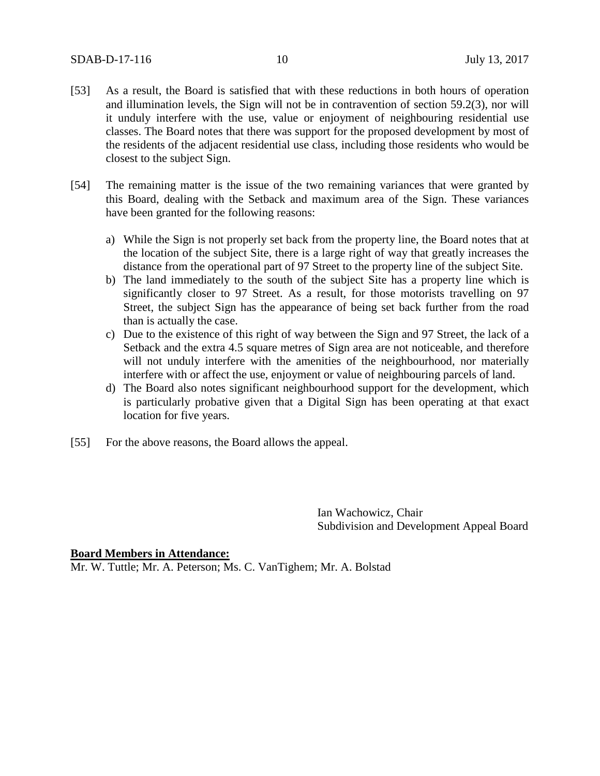- [53] As a result, the Board is satisfied that with these reductions in both hours of operation and illumination levels, the Sign will not be in contravention of section 59.2(3), nor will it unduly interfere with the use, value or enjoyment of neighbouring residential use classes. The Board notes that there was support for the proposed development by most of the residents of the adjacent residential use class, including those residents who would be closest to the subject Sign.
- [54] The remaining matter is the issue of the two remaining variances that were granted by this Board, dealing with the Setback and maximum area of the Sign. These variances have been granted for the following reasons:
	- a) While the Sign is not properly set back from the property line, the Board notes that at the location of the subject Site, there is a large right of way that greatly increases the distance from the operational part of 97 Street to the property line of the subject Site.
	- b) The land immediately to the south of the subject Site has a property line which is significantly closer to 97 Street. As a result, for those motorists travelling on 97 Street, the subject Sign has the appearance of being set back further from the road than is actually the case.
	- c) Due to the existence of this right of way between the Sign and 97 Street, the lack of a Setback and the extra 4.5 square metres of Sign area are not noticeable, and therefore will not unduly interfere with the amenities of the neighbourhood, nor materially interfere with or affect the use, enjoyment or value of neighbouring parcels of land.
	- d) The Board also notes significant neighbourhood support for the development, which is particularly probative given that a Digital Sign has been operating at that exact location for five years.
- [55] For the above reasons, the Board allows the appeal.

Ian Wachowicz, Chair Subdivision and Development Appeal Board

#### **Board Members in Attendance:**

Mr. W. Tuttle; Mr. A. Peterson; Ms. C. VanTighem; Mr. A. Bolstad